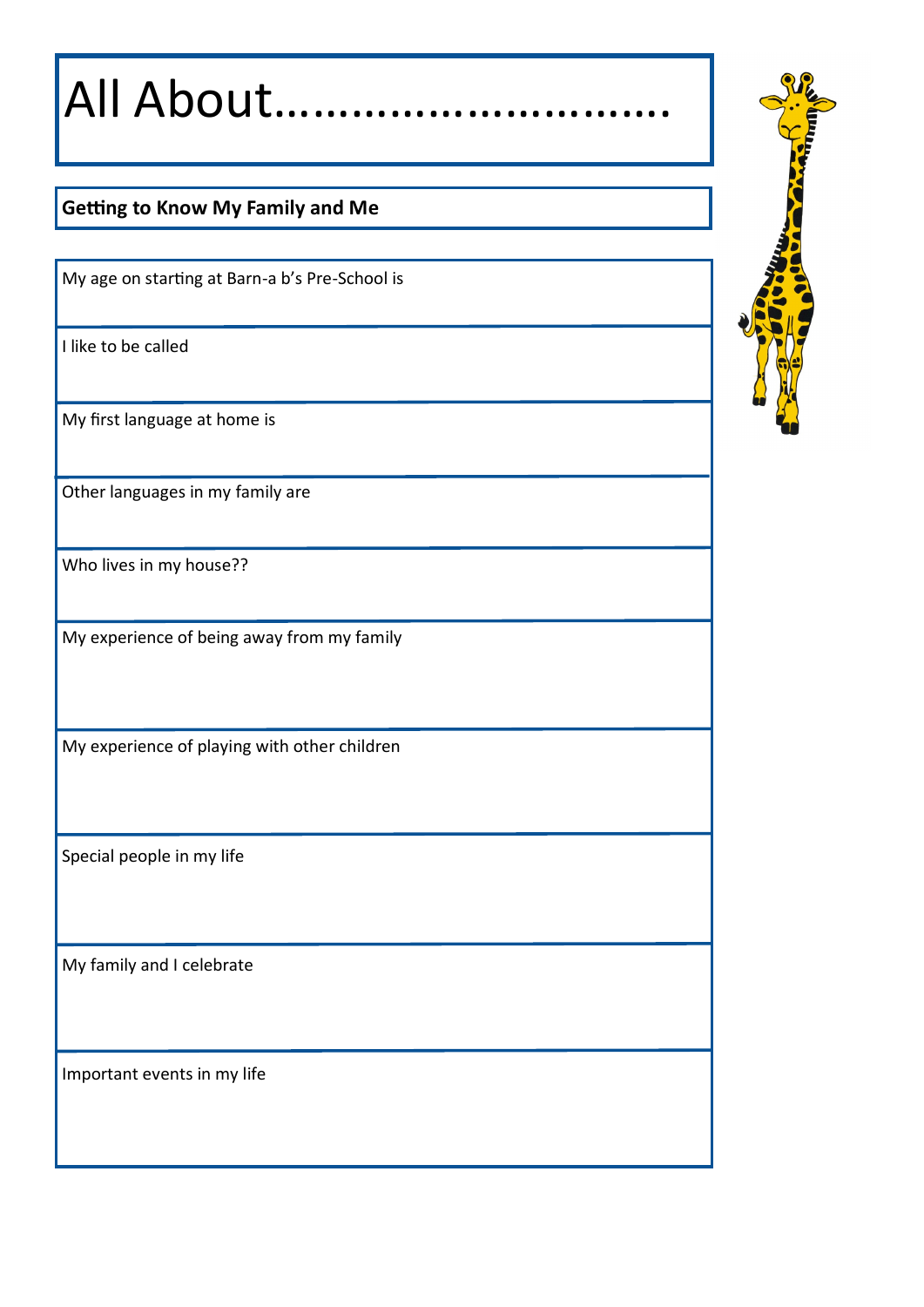All About………………………….

# **Getting to Know My Family and Me**

My age on starting at Barn-a b's Pre-School is

I like to be called

My first language at home is

Other languages in my family are

Who lives in my house??

My experience of being away from my family

My experience of playing with other children

Special people in my life

My family and I celebrate

Important events in my life

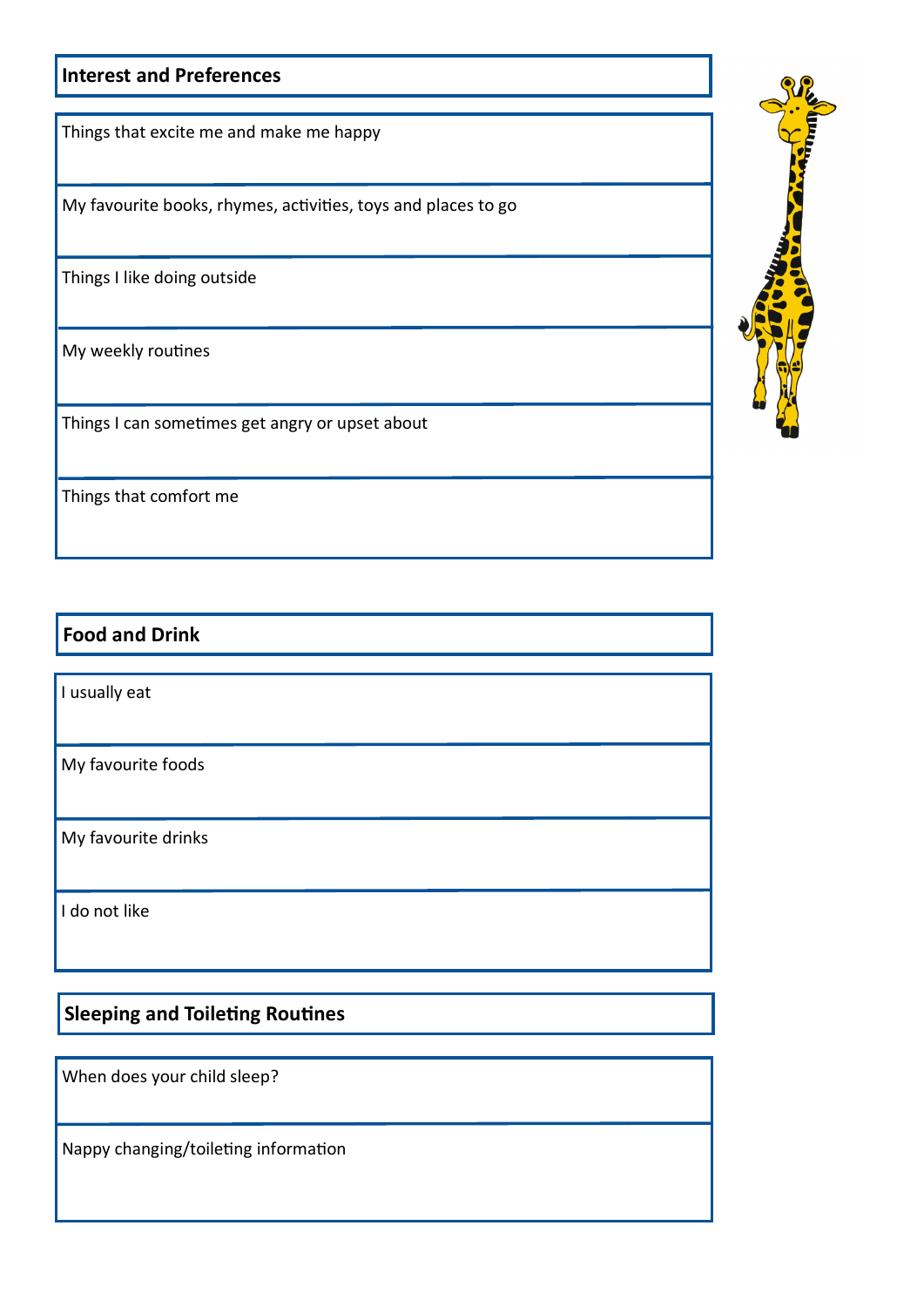#### **Interest and Preferences**

Things that excite me and make me happy

My favourite books, rhymes, activities, toys and places to go

Things I like doing outside

My weekly routines

Things I can sometimes get angry or upset about

Things that comfort me

## **Food and Drink**

I usually eat

My favourite foods

My favourite drinks

I do not like

**Sleeping and Toileting Routines**

When does your child sleep?

Nappy changing/toileting information